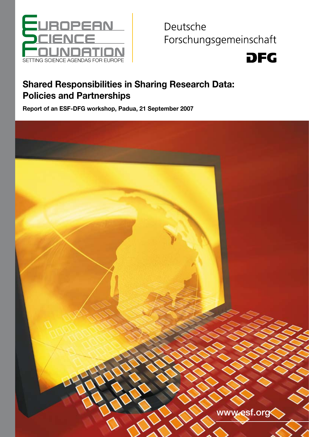

Deutsche Forschungsgemeinschaft



# Shared Responsibilities in Sharing Research Data: Policies and Partnerships

Report of an ESF-DFG workshop, Padua, 21 September 2007

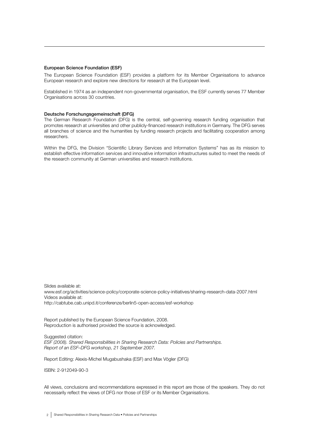#### European Science Foundation (ESF)

The European Science Foundation (ESF) provides a platform for its Member Organisations to advance European research and explore new directions for research at the European level.

Established in 1974 as an independent non-governmental organisation, the ESF currently serves 77 Member Organisations across 30 countries.

#### Deutsche Forschungsgemeinschaft (DFG)

The German Research Foundation (DFG) is the central, self-governing research funding organisation that promotes research at universities and other publicly-financed research institutions in Germany. The DFG serves all branches of science and the humanities by funding research projects and facilitating cooperation among researchers.

Within the DFG, the Division "Scientific Library Services and Information Systems" has as its mission to establish effective information services and innovative information infrastructures suited to meet the needs of the research community at German universities and research institutions.

Slides available at: www.esf.org/activities/science-policy/corporate-science-policy-initiatives/sharing-research-data-2007.html Videos available at: http://cabtube.cab.unipd.it/conferenze/berlin5-open-access/esf-workshop

Report published by the European Science Foundation, 2008. Reproduction is authorised provided the source is acknowledged.

Suggested citation: *ESF (2008). Shared Responsibilities in Sharing Research Data: Policies and Partnerships. Report of an ESF–DFG workshop, 21 September 2007.*

Report Editing: Alexis-Michel Mugabushaka (ESF) and Max Vögler (DFG)

ISBN: 2-912049-90-3

All views, conclusions and recommendations expressed in this report are those of the speakers. They do not necessarily reflect the views of DFG nor those of ESF or its Member Organisations.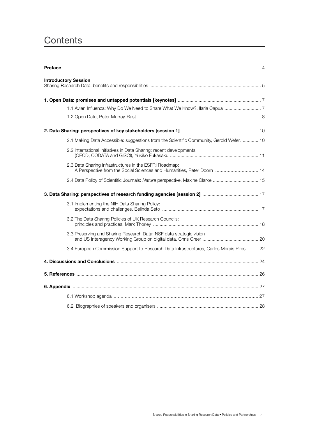# **Contents**

| <b>Introductory Session</b>                                                                                                      |  |
|----------------------------------------------------------------------------------------------------------------------------------|--|
|                                                                                                                                  |  |
|                                                                                                                                  |  |
|                                                                                                                                  |  |
|                                                                                                                                  |  |
| 2.1 Making Data Accessible: suggestions from the Scientific Community, Gerold Wefer 10                                           |  |
| 2.2 International Initiatives in Data Sharing: recent developments                                                               |  |
| 2.3 Data Sharing Infrastructures in the ESFRI Roadmap:<br>A Perspective from the Social Sciences and Humanities, Peter Doorn  14 |  |
| 2.4 Data Policy of Scientific Journals: Nature perspective, Maxine Clarke  15                                                    |  |
|                                                                                                                                  |  |
| 3.1 Implementing the NIH Data Sharing Policy:                                                                                    |  |
| 3.2 The Data Sharing Policies of UK Research Councils:                                                                           |  |
| 3.3 Preserving and Sharing Research Data: NSF data strategic vision                                                              |  |
| 3.4 European Commission Support to Research Data Infrastructures, Carlos Morais Pires  22                                        |  |
|                                                                                                                                  |  |
|                                                                                                                                  |  |
|                                                                                                                                  |  |
|                                                                                                                                  |  |
|                                                                                                                                  |  |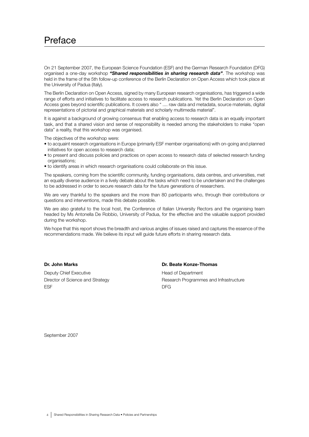# Preface

On 21 September 2007, the European Science Foundation (ESF) and the German Research Foundation (DFG) organised a one-day workshop *"Shared responsibilities in sharing research data"*. The workshop was held in the frame of the 5th follow-up conference of the Berlin Declaration on Open Access which took place at the University of Padua (Italy).

The Berlin Declaration on Open Access, signed by many European research organisations, has triggered a wide range of efforts and initiatives to facilitate access to research publications. Yet the Berlin Declaration on Open Access goes beyond scientific publications. It covers also " .... raw data and metadata, source materials, digital representations of pictorial and graphical materials and scholarly multimedia material".

It is against a background of growing consensus that enabling access to research data is an equally important task, and that a shared vision and sense of responsibility is needed among the stakeholders to make "open data" a reality, that this workshop was organised.

The objectives of the workshop were:

- to acquaint research organisations in Europe (primarily ESF member organisations) with on-going and planned initiatives for open access to research data;
- to present and discuss policies and practices on open access to research data of selected research funding organisations;
- to identify areas in which research organisations could collaborate on this issue.

The speakers, coming from the scientific community, funding organisations, data centres, and universities, met an equally diverse audience in a lively debate about the tasks which need to be undertaken and the challenges to be addressed in order to secure research data for the future generations of researchers.

We are very thankful to the speakers and the more than 80 participants who, through their contributions or questions and interventions, made this debate possible.

We are also grateful to the local host, the Conference of Italian University Rectors and the organising team headed by Ms Antonella De Robbio, University of Padua, for the effective and the valuable support provided during the workshop.

We hope that this report shows the breadth and various angles of issues raised and captures the essence of the recommendations made. We believe its input will guide future efforts in sharing research data.

## Dr. John Marks

Deputy Chief Executive Director of Science and Strategy ESF

# Dr. Beate Konze-Thomas

Head of Department Research Programmes and Infrastructure DFG

September 2007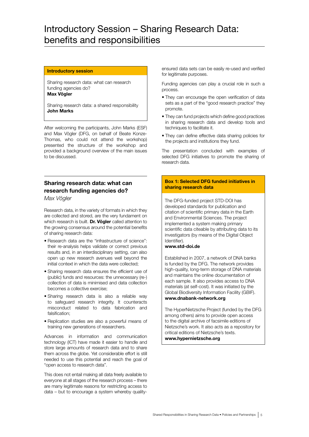# Introductory Session – Sharing Research Data: benefits and responsibilities

### Introductory session

Sharing research data: what can research funding agencies do?

Max Vögler

Sharing research data: a shared responsibility John Marks

After welcoming the participants, John Marks (ESF) and Max Vögler (DFG, on behalf of Beate Konze-Thomas, who could not attend the workshop) presented the structure of the workshop and provided a background overview of the main issues to be discussed.

# Sharing research data: what can research funding agencies do?

*Max Vögler*

Research data, in the variety of formats in which they are collected and stored, are the very fundament on which research is built. Dr. Vögler called attention to the growing consensus around the potential benefits of sharing research data:

- Research data are the "infrastructure of science": their re-analysis helps validate or correct previous results and, in an interdisciplinary setting, can also open up new research avenues well beyond the initial context in which the data were collected;
- Sharing research data ensures the efficient use of (public) funds and resources: the unnecessary (re-) collection of data is minimised and data collection becomes a collective exercise;
- Sharing research data is also a reliable way to safeguard research integrity. It counteracts misconduct related to data fabrication and falsification;
- Replication studies are also a powerful means of training new generations of researchers.

Advances in information and communication technology (ICT) have made it easier to handle and store large amounts of research data and to share them across the globe. Yet considerable effort is still needed to use this potential and reach the goal of "open access to research data".

This does not entail making all data freely available to everyone at all stages of the research process – there are many legitimate reasons for restricting access to data – but to encourage a system whereby qualityensured data sets can be easily re-used and verified for legitimate purposes.

Funding agencies can play a crucial role in such a process.

- They can encourage the open verification of data sets as a part of the "good research practice" they promote.
- They can fund projects which define good practices in sharing research data and develop tools and techniques to facilitate it.
- They can define effective data sharing policies for the projects and institutions they fund.

The presentation concluded with examples of selected DFG initiatives to promote the sharing of research data.

# Box 1: Selected DFG funded initiatives in sharing research data

The DFG-funded project STD-DOI has developed standards for publication and citation of scientific primary data in the Earth and Environmental Sciences. The project implemented a system making primary scientific data citeable by attributing data to its investigators (by means of the Digital Object Identifier).

# www.std-doi.de

Established in 2007, a network of DNA banks is funded by the DFG. The network provides high-quality, long-term storage of DNA materials and maintains the online documentation of each sample. It also provides access to DNA materials (at self-cost). It was initiated by the Global Biodiversity Information Facility (GBIF). www.dnabank-network.org

The HyperNietzsche Project (funded by the DFG among others) aims to provide open access to the digital archive of facsimile editions of Nietzsche's work. It also acts as a repository for critical editions of Nietzsche's texts.

www.hypernietzsche.org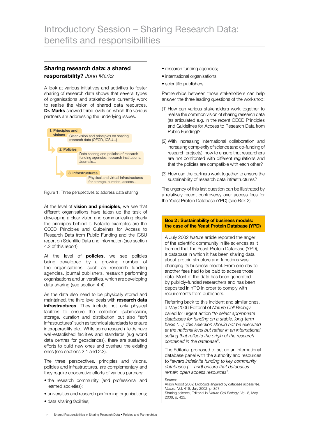# Sharing research data: a shared responsibility? *John Marks*

A look at various initiatives and activities to foster sharing of research data shows that several types of organisations and stakeholders currently work to realise the vision of shared data resources. Dr. Marks showed three levels on which the various partners are addressing the underlying issues.



Figure 1: Three perspectives to address data sharing

At the level of **vision and principles**, we see that different organisations have taken up the task of developing a clear vision and communicating clearly the principles behind it. Notable examples are the OECD Principles and Guidelines for Access to Research Data from Public Funding and the ICSU report on Scientific Data and Information (see section 4.2 of this report).

At the level of **policies**, we see policies being developed by a growing number of the organisations, such as research funding agencies, journal publishers, research performing organisations and universities, which are developing data sharing (see section 4.4).

As the data also need to be physically stored and maintained, the third level deals with research data infrastructures. They include not only physical facilities to ensure the collection (submission), storage, curation and distribution but also "soft infrastructures" such as technical standards to ensure interoperability etc.. While some research fields have well-established facilities and standards (e.g world data centres for geosciences), there are sustained efforts to build new ones and overhaul the existing ones (see sections 2.1 and 2.3).

The three perspectives, principles and visions, policies and infrastructures, are complementary and they require cooperative efforts of various partners:

- the research community (and professional and learned societies);
- universities and research performing organisations;
- data sharing facilities;
- research funding agencies;
- international organisations;
- scientific publishers.

Partnerships between those stakeholders can help answer the three leading questions of the workshop:

- (1) How can various stakeholders work together to realise the common vision of sharing research data (as articulated e.g. in the recent OECD Principles and Guidelines for Access to Research Data from Public Funding)?
- (2) With increasing international collaboration and increasing complexity of science (and co-funding of research projects), how to ensure that researchers are not confronted with different regulations and that the policies are compatible with each other?
- (3) How can the partners work together to ensure the sustainability of research data infrastructures?

The urgency of this last question can be illustrated by a relatively recent controversy over access fees for the Yeast Protein Database (YPD) (see Box 2)

#### Box 2 : Sustainability of business models: the case of the Yeast Protein Database (YPD)

A July 2002 *Nature* article reported the anger of the scientific community in life sciences as it learned that the Yeast Protein Database (YPD), a database in which it has been sharing data about protein structure and functions was changing its business model. From one day to another fees had to be paid to access those data. Most of the data has been generated by publicly-funded researchers and has been deposited in YPD in order to comply with requirements from publishers.

Referring back to this incident and similar ones, a May 2006 Editorial of *Nature Cell Biology* called for urgent action "*to select appropriate databases for funding on a stable, long-term basis (…) this selection should not be executed at the national level but rather in an international setting that reflects the origin of the research contained in the database"*.

The Editorial proposed to set up an international database panel with the authority and resources to "*award indefinite funding to key community databases (… and) ensure that databases remain open access resources*".

Source: Alison Abbot (2002) Biologists angered by database access fee. *Nature*, Vol. 418, July 2002, p. 357. Sharing science, Editorial in *Nature Cell Biology*, Vol. 8, May 2006, p. 425.

6 Shared Responsibilities in Sharing Research Data • Policies and Partnerships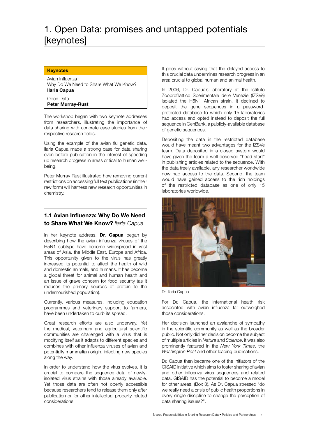# 1. Open Data: promises and untapped potentials [keynotes]

# **Keynotes**

Avian Influenza : Why Do We Need to Share What We Know? Ilaria Capua

Open Data

Peter Murray-Rust

The workshop began with two keynote addresses from researchers, illustrating the importance of data sharing with concrete case studies from their respective research fields.

Using the example of the avian flu genetic data, Ilaria Capua made a strong case for data sharing even before publication in the interest of speeding up research progress in areas critical to human wellbeing.

Peter Murray Rust illustrated how removing current restrictions on accessing full text publications (in their raw form) will harness new research opportunities in chemistry.

# 1.1 Avian Influenza: Why Do We Need to Share What We Know? *Ilaria Capua*

In her keynote address, Dr. Capua began by describing how the avian influenza viruses of the H5N1 subtype have become widespread in vast areas of Asia, the Middle East, Europe and Africa. This opportunity given to the virus has greatly increased its potential to affect the health of wild and domestic animals, and humans. It has become a global threat for animal and human health and an issue of grave concern for food security (as it reduces the primary sources of protein to the undernourished population).

Currently, various measures, including education programmes and veterinary support to farmers, have been undertaken to curb its spread.

Great research efforts are also underway. Yet the medical, veterinary and agricultural scientific communities are challenged with a virus that is modifying itself as it adapts to different species and combines with other influenza viruses of avian and potentially mammalian origin, infecting new species along the way.

In order to understand how the virus evolves, it is crucial to compare the sequence data of newlyisolated virus strains with those already available. Yet those data are often not openly accessible because researchers tend to release them only after publication or for other intellectual property-related considerations.

It goes without saying that the delayed access to this crucial data undermines research progress in an area crucial to global human and animal health.

In 2006, Dr. Capua's laboratory at the Istituto Zooprofilattico Sperimentale delle Venezie (IZSVe) isolated the H5N1 African strain. It declined to deposit the gene sequences in a passwordprotected database to which only 15 laboratories had access and opted instead to deposit the full sequence in GenBank, a publicly-available database of genetic sequences.

Depositing the data in the restricted database would have meant two advantages for the IZSVe team. Data deposited in a closed system would have given the team a well-deserved "head start" in publishing articles related to the sequence. With the data freely available, any researcher worldwide now had access to the data. Second, the team would have gained access to the rich holdings of the restricted database as one of only 15 laboratories worldwide.



Dr. Ilaria Capua

For Dr. Capua, the international health risk associated with avian influenza far outweighed those considerations.

Her decision launched an avalanche of sympathy in the scientific community as well as the broader public. Not only did her decision become the subject of multiple articles in *Nature* and *Science*, it was also prominently featured in the *New York Times*, the *Washington Post* and other leading publications.

Dr. Capua then became one of the initiators of the GISAID initiative which aims to foster sharing of avian and other influenza virus sequences and related data. GISAID has the potential to become a model for other areas. (Box 3). As Dr. Capua stressed "do we really need a crisis of public health proportions in every single discipline to change the perception of data sharing issues?".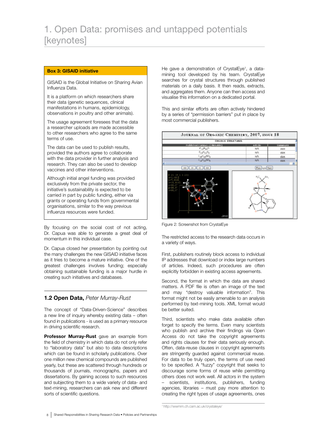## Box 3: GISAID initiative

GISAID is the Global Initiative on Sharing Avian Influenza Data.

It is a platform on which researchers share their data (genetic sequences, clinical manifestations in humans, epidemiology, observations in poultry and other animals).

The usage agreement foresees that the data a researcher uploads are made accessible to other researchers who agree to the same terms of use.

The data can be used to publish results, provided the authors agree to collaborate with the data provider in further analysis and research. They can also be used to develop vaccines and other interventions.

Although initial angel funding was provided exclusively from the private sector, the initiative's sustainability is expected to be carried in part by public funding, either via grants or operating funds from governmental organisations, similar to the way previous influenza resources were funded.

By focusing on the social cost of not acting, Dr. Capua was able to generate a great deal of momentum in this individual case.

Dr. Capua closed her presentation by pointing out the many challenges the new GISAID initiative faces as it tries to become a mature initiative. One of the greatest challenges involves funding; especially obtaining sustainable funding is a major hurdle in creating such initiatives and databases.

# 1.2 Open Data, *Peter Murray-Rust*

The concept of "Data-Driven-Science" describes a new line of inquiry whereby existing data – often found in publications - is used as a primary resource in driving scientific research.

Professor Murray-Rust gave an example from the field of chemistry in which data do not only refer to "laboratory data" but also to data descriptions which can be found in scholarly publications. Over one million new chemical compounds are published yearly, but these are scattered through hundreds or thousands of journals, monographs, papers and dissertations. By gaining access to such resources and subjecting them to a wide variety of data- and text-mining, researchers can ask new and different sorts of scientific questions.

He gave a demonstration of CrystalEye<sup>1</sup>, a datamining tool developed by his team. CrystalEye searches for crystal structures through published materials on a daily basis. It then reads, extracts, and aggregates them. Anyone can then access and visualise this information on a dedicated portal.

This and similar efforts are often actively hindered by a series of "permission barriers" put in place by most commercial publishers.



Figure 2: Screenshot from CrystalEye

The restricted access to the research data occurs in a variety of ways.

First, publishers routinely block access to individual IP addresses that download or index large numbers of articles. Indeed, such procedures are often explicitly forbidden in existing access agreements.

Second, the format in which the data are shared matters. A PDF file is often an image of the text and may "destroy valuable information". This format might not be easily amenable to an analysis performed by text-mining tools. XML format would be better suited.

Third, scientists who make data available often forget to specify the terms. Even many scientists who publish and archive their findings via Open Access do not take the copyright agreements and rights clauses for their data seriously enough. Often, data-reuse clauses in copyright agreements are stringently guarded against commercial reuse. For data to be truly open, the terms of use need to be specified. A "fuzzy" copyright that seeks to discourage some forms of reuse while permitting others does not work well. All actors in the system – scientists, institutions, publishers, funding agencies, libraries – must pay more attention to creating the right types of usage agreements, ones

<sup>1</sup> http://wwmm.ch.cam.ac.uk/crystaleye/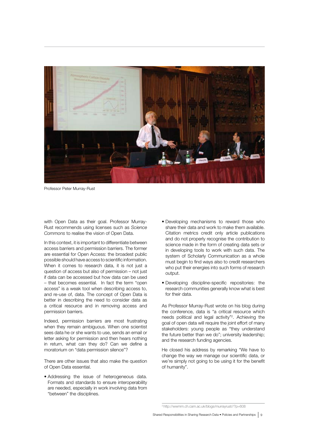

Professor Peter Murray-Rust

with Open Data as their goal. Professor Murray-Rust recommends using licenses such as *Science Commons* to realise the vision of Open Data.

In this context, it is important to differentiate between access barriers and permission barriers. The former are essential for Open Access: the broadest public possible should have access to scientific information. When it comes to research data, it is not just a question of access but also of permission – not just if data can be accessed but how data can be used – that becomes essential. In fact the term "open access" is a weak tool when describing access to, and re-use of, data. The concept of Open Data is better in describing the need to consider data as a critical resource and in removing access and permission barriers.

Indeed, permission barriers are most frustrating when they remain ambiguous. When one scientist sees data he or she wants to use, sends an email or letter asking for permission and then hears nothing in return, what can they do? Can we define a moratorium on "data permission silence"?

There are other issues that also make the question of Open Data essential.

• Addressing the issue of heterogeneous data. Formats and standards to ensure interoperability are needed, especially in work involving data from "between" the disciplines.

- Developing mechanisms to reward those who share their data and work to make them available. Citation metrics credit only article publications and do not properly recognise the contribution to science made in the form of creating data sets or in developing tools to work with such data. The system of Scholarly Communication as a whole must begin to find ways also to credit researchers who put their energies into such forms of research output.
- Developing discipline-specific repositories: the research communities generally know what is best for their data.

As Professor Murray-Rust wrote on his blog during the conference, data is "a critical resource which needs political and legal activity"2 . Achieving the goal of open data will require the joint effort of many stakeholders: young people as "they understand the future better than we do"; university leadership; and the research funding agencies.

He closed his address by remarking "We have to change the way we manage our scientific data, or we're simply not going to be using it for the benefit of humanity".

<sup>2</sup> http://wwmm.ch.cam.ac.uk/blogs/murrayrust//?p=608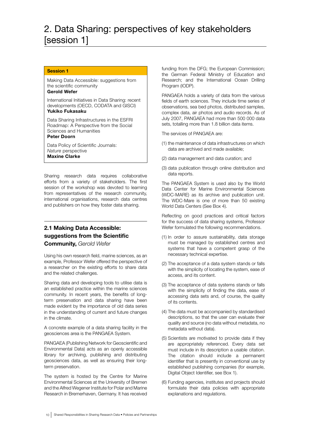# 2. Data Sharing: perspectives of key stakeholders [session 1]

## Session 1

Making Data Accessible: suggestions from the scientific community

# Gerold Wefer

International Initiatives in Data Sharing: recent developments (OECD, CODATA and GISCI) Yukiko Fukasaku

Data Sharing Infrastructures in the ESFRI Roadmap: A Perspective from the Social Sciences and Humanities

# Peter Doorn

Data Policy of Scientific Journals: *Nature* perspective Maxine Clarke

Sharing research data requires collaborative efforts from a variety of stakeholders. The first session of the workshop was devoted to learning from representatives of the research community, international organisations, research data centres and publishers on how they foster data sharing.

# 2.1 Making Data Accessible: suggestions from the Scientific Community, *Gerold Wefer*

Using his own research field, marine sciences, as an example, Professor Wefer offered the perspective of a researcher on the existing efforts to share data and the related challenges.

Sharing data and developing tools to utilise data is an established practice within the marine sciences community. In recent years, the benefits of longterm preservation and data sharing have been made evident by the importance of old data series in the understanding of current and future changes in the climate.

A concrete example of a data sharing facility in the geosciences area is the PANGAEA System.

PANGAEA (Publishing Network for Geoscientific and Environmental Data) acts as an openly accessible library for archiving, publishing and distributing geosciences data, as well as ensuring their longterm preservation.

The system is hosted by the Centre for Marine Environmental Sciences at the University of Bremen and the Alfred Wegener Institute for Polar and Marine Research in Bremerhaven, Germany. It has received funding from the DFG; the European Commission; the German Federal Ministry of Education and Research; and the International Ocean Drilling Program (IODP).

PANGAEA holds a variety of data from the various fields of earth sciences. They include time series of observations, sea bed photos, distributed samples, complex data, air photos and audio records. As of July 2007, PANGAEA had more than 500 000 data sets, totalling more than 1.8 billion data items.

The services of PANGAEA are:

- (1) the maintenance of data infrastructures on which data are archived and made available;
- (2) data management and data curation; and
- (3) data publication through online distribution and data reports.

The PANGAEA System is used also by the World Data Center for Marine Environmental Sciences (WDC-MARE) as its archive and publication unit. The WDC-Mare is one of more than 50 existing World Data Centers (See Box 4).

Reflecting on good practices and critical factors for the success of data sharing systems, Professor Wefer formulated the following recommendations.

- (1) In order to assure sustainability, data storage must be managed by established centres and systems that have a competent grasp of the necessary technical expertise.
- (2) The acceptance of a data system stands or falls with the simplicity of locating the system, ease of access, and its content.
- (3) The acceptance of data systems stands or falls with the simplicity of finding the data, ease of accessing data sets and, of course, the quality of its contents.
- (4) The data must be accompanied by standardised descriptions, so that the user can evaluate their quality and source (no data without metadata, no metadata without data).
- (5) Scientists are motivated to provide data if they are appropriately referenced. Every data set must include in its description a usable citation. The citation should include a permanent identifier that is presently in conventional use by established publishing companies (for example, Digital Object Identifier, see Box 1).
- (6) Funding agencies, institutes and projects should formulate their data policies with appropriate explanations and regulations.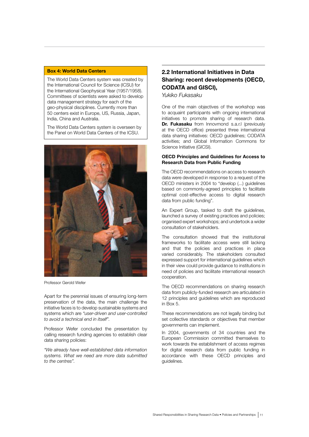# Box 4: World Data Centers

The World Data Centers system was created by the International Council for Science (ICSU) for the International Geophysical Year (1957/1958). Committees of scientists were asked to develop data management strategy for each of the geo-physical disciplines. Currently more than 50 centers exist in Europe, US, Russia, Japan, India, China and Australia.

The World Data Centers system is overseen by the Panel on World Data Centers of the ICSU.



Professor Gerold Wefer

Apart for the perennial issues of ensuring long-term preservation of the data, the main challenge the initiative faces is to develop sustainable systems and systems which are *"user-driven and user-controlled to avoid a technical end in itself".*

Professor Wefer concluded the presentation by calling research funding agencies to establish clear data sharing policies:

*"We already have well-established data information systems. What we need are more data submitted to the centres".* 

# 2.2 International Initiatives in Data Sharing: recent developments (OECD, CODATA and GISCI),

*Yukiko Fukasaku* 

One of the main objectives of the workshop was to acquaint participants with ongoing international initiatives to promote sharing of research data. Dr. Fukasaku from Innovmond s.a.r.l (previously at the OECD office) presented three international data sharing initiatives: OECD guidelines; CODATA activities; and Global Information Commons for Science Initiative (GICSI).

### OECD Principles and Guidelines for Access to Research Data from Public Funding

The OECD recommendations on access to research data were developed in response to a request of the OECD ministers in 2004 to "develop (...) guidelines based on commonly-agreed principles to facilitate optimal cost-effective access to digital research data from public funding".

An Expert Group, tasked to draft the quidelines. launched a survey of existing practices and policies; organised expert workshops; and undertook a wider consultation of stakeholders.

The consultation showed that the institutional frameworks to facilitate access were still lacking and that the policies and practices in place varied considerably. The stakeholders consulted expressed support for international guidelines which in their view could provide guidance to institutions in need of policies and facilitate international research cooperation.

The OECD recommendations on sharing research data from publicly-funded research are articulated in 12 principles and guidelines which are reproduced in Box 5.

These recommendations are not legally binding but set collective standards or objectives that member governments can implement.

In 2004, governments of 34 countries and the European Commission committed themselves to work towards the establishment of access regimes for digital research data from public funding in accordance with these OECD principles and guidelines.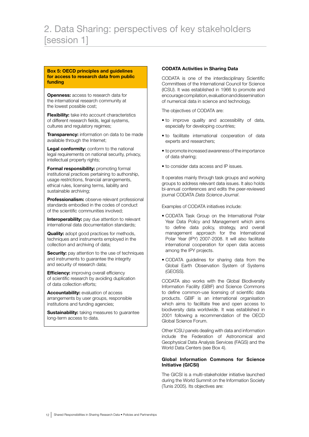#### Box 5: OECD principles and guidelines for access to research data from public funding

**Openness:** access to research data for the international research community at the lowest possible cost;

**Flexibility:** take into account characteristics of different research fields, legal systems, cultures and regulatory regimes;

**Transparency:** information on data to be made available through the Internet;

Legal conformity: conform to the national legal requirements on national security, privacy, intellectual property rights;

**Formal responsibility: promoting formal** institutional practices pertaining to authorship, usage restrictions, financial arrangements, ethical rules, licensing terms, liability and sustainable archiving;

Professionalism: observe relevant professional standards embodied in the codes of conduct of the scientific communities involved;

Interoperability: pay due attention to relevant international data documentation standards;

**Quality:** adopt good practices for methods, techniques and instruments employed in the collection and archiving of data;

Security: pay attention to the use of techniques and instruments to guarantee the integrity and security of research data;

**Efficiency:** improving overall efficiency of scientific research by avoiding duplication of data collection efforts;

Accountability: evaluation of access arrangements by user groups, responsible institutions and funding agencies;

**Sustainability:** taking measures to guarantee long-term access to data.

# CODATA Activities in Sharing Data

CODATA is one of the interdisciplinary Scientific Committees of the International Council for Science (ICSU). It was established in 1966 to promote and encourage compilation, evaluation and dissemination of numerical data in science and technology.

The objectives of CODATA are:

- to improve quality and accessibility of data, especially for developing countries;
- to facilitate international cooperation of data experts and researchers;
- to promote increased awareness of the importance of data sharing;
- to consider data access and IP issues.

It operates mainly through task groups and working groups to address relevant data issues. It also holds bi-annual conferences and edits the peer-reviewed journal CODATA *Data Science Journal*.

Examples of CODATA initiatives include:

- CODATA Task Group on the International Polar Year Data Policy and Management which aims to define data policy, strategy, and overall management approach for the International Polar Year (IPY) 2007-2008. It will also facilitate international cooperation for open data access among the IPY projects.
- CODATA guidelines for sharing data from the Global Earth Observation System of Systems (GEOSS).

CODATA also works with the Global Biodiversity Information Facility (GBIF) and Science Commons to define common-use licensing of scientific data products. GBIF is an international organisation which aims to facilitate free and open access to biodiversity data worldwide. It was established in 2001 following a recommendation of the OECD Global Science Forum.

Other ICSU panels dealing with data and information include the Federation of Astronomical and Geophysical Data Analysis Services (FAGS) and the World Data Centers (see Box 4).

# Global Information Commons for Science Initiative (GICSI)

The GICSI is a multi-stakeholder initiative launched during the World Summit on the Information Society (Tunis 2005). Its objectives are: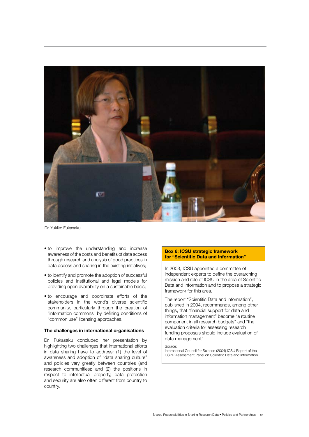

Dr. Yukiko Fukasaku

- to improve the understanding and increase awareness of the costs and benefits of data access through research and analysis of good practices in data access and sharing in the existing initiatives;
- to identify and promote the adoption of successful policies and institutional and legal models for providing open availability on a sustainable basis;
- to encourage and coordinate efforts of the stakeholders in the world's diverse scientific community, particularly through the creation of "information commons" by defining conditions of "common use" licensing approaches.

#### The challenges in international organisations

Dr. Fukasaku concluded her presentation by highlighting two challenges that international efforts in data sharing have to address: (1) the level of awareness and adoption of "data sharing culture" and policies vary greatly between countries (and research communities); and (2) the positions in respect to intellectual property, data protection and security are also often different from country to country.

# Box 6: ICSU strategic framework for "Scientific Data and Information"

In 2003, ICSU appointed a committee of independent experts to define the overarching mission and role of ICSU in the area of Scientific Data and Information and to propose a strategic framework for this area.

The report "Scientific Data and Information", published in 2004, recommends, among other things, that "financial support for data and information management" become "a routine component in all research budgets" and "the evaluation criteria for assessing research funding proposals should include evaluation of data management".

Source:

International Council for Science (2004) ICSU Report of the CSPR Assessment Panel on Scientific Data and Information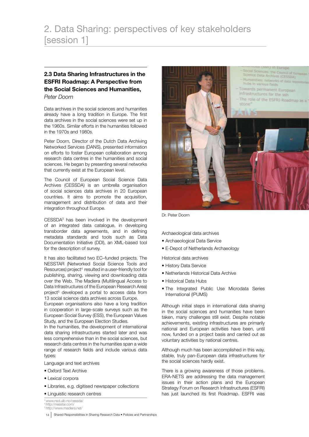# 2.3 Data Sharing Infrastructures in the ESFRI Roadmap: A Perspective from the Social Sciences and Humanities, *Peter Doorn*

Data archives in the social sciences and humanities already have a long tradition in Europe. The first data archives in the social sciences were set up in the 1960s. Similar efforts in the humanities followed in the 1970s and 1980s.

Peter Doorn, Director of the Dutch Data Archiving Networked Services (DANS), presented information on efforts to foster European collaboration among research data centres in the humanities and social sciences. He began by presenting several networks that currently exist at the European level.

The Council of European Social Science Data Archives (CESSDA) is an umbrella organisation of social sciences data archives in 20 European countries. It aims to promote the acquisition, management and distribution of data and their integration throughout Europe.

CESSDA3 has been involved in the development of an integrated data catalogue, in developing transborder data agreements, and in defining metadata standards and tools such as Data Documentation Initiative (DDI), an XML-based tool for the description of survey.

It has also facilitated two EC–funded projects. The NESSTAR (Networked Social Science Tools and Resources) project<sup>4</sup> resulted in a user-friendly tool for publishing, sharing, viewing and downloading data over the Web. The Madiera (Multilingual Access to Data Infrastructures of the European Research Area) project<sup>5</sup> developed a portal to access data from 13 social science data archives across Europe.

European organisations also have a long tradition in cooperation in large-scale surveys such as the European Social Survey (ESS), the European Values Study, and the European Election Studies.

In the humanities, the development of international data sharing infrastructures started later and was less comprehensive than in the social sciences, but research data centres in the humanities span a wide range of research fields and include various data types:

- Language and text archives
- Oxford Text Archive
- Lexical corpora
- Libraries, e.g. digitised newspaper collections
- Linguistic research centres
- 3 www.nsd.uib.no/cessda/
- <sup>4</sup> http://nesstar.com/<br><sup>5</sup> http://www.madiera.net/



Dr. Peter Doorn

Archaeological data archives

- Archaeological Data Service
- E-Depot of Netherlands Archaeology

Historical data archives

- History Data Service
- Netherlands Historical Data Archive
- Historical Data Hubs
- The Integrated Public Use Microdata Series International (IPUMS)

Although initial steps in international data sharing in the social sciences and humanities have been taken, many challenges still exist. Despite notable achievements, existing infrastructures are primarily national and European activities have been, until now, funded on a project basis and carried out as voluntary activities by national centres.

Although much has been accomplished in this way, stable, truly pan-European data infrastructures for the social sciences hardly exist.

There is a growing awareness of those problems. ERA-NETS are addressing the data management issues in their action plans and the European Strategy Forum on Research Infrastructures (ESFRI) has just launched its first Roadmap. ESFRI was

14 Shared Responsibilities in Sharing Research Data • Policies and Partnerships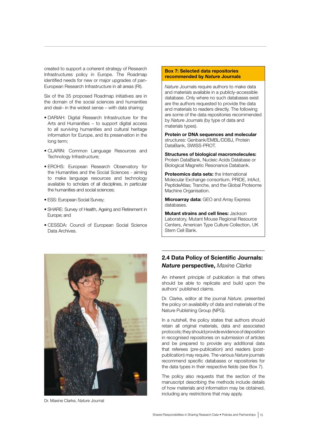created to support a coherent strategy of Research Infrastructures policy in Europe. The Roadmap identified needs for new or major upgrades of pan-European Research Infrastructure in all areas (RI).

Six of the 35 proposed Roadmap initiatives are in the domain of the social sciences and humanities and deal– in the widest sense – with data sharing:

- DARIAH: Digital Research Infrastructure for the Arts and Humanities – to support digital access to all surviving humanities and cultural heritage information for Europe, and its preservation in the long term;
- CLARIN: Common Language Resources and Technology Infrastructure;
- EROHS: European Research Observatory for the Humanities and the Social Sciences - aiming to make language resources and technology available to scholars of all disciplines, in particular the humanities and social sciences;
- ESS: European Social Survey;
- SHARE: Survey of Health, Ageing and Retirement in Europe; and
- CESSDA: Council of European Social Science Data Archives.

#### Box 7: Selected data repositories recommended by *Nature* Journals

*Nature* Journals require authors to make data and materials available in a publicly-accessible database. Only where no such databases exist are the authors requested to provide the data and materials to readers directly. The following are some of the data repositories recommended by *Nature* Journals (by type of data and materials types).

Protein or DNA sequences and molecular structures: Genbank/EMBL/DDBJ, Protein DataBank, SWISS-PROT.

Structures of biological macromolecules: Protein DataBank, Nucleic Acids Database or Biological Magnetic Resonance Databank.

Proteomics data sets: the International Molecular Exchange consortium, PRIDE, IntAct, PeptideAtlas; Tranche, and the Global Proteome Machine Organisation.

**Microarray data: GEO and Array Express** databases.

**Mutant strains and cell lines: Jackson** Laboratory, Mutant Mouse Regional Resource Centers, American Type Culture Collection, UK Stem Cell Bank.



Dr. Maxine Clarke, *Nature* Journal

# 2.4 Data Policy of Scientific Journals: *Nature* perspective, *Maxine Clarke*

An inherent principle of publication is that others should be able to replicate and build upon the authors' published claims.

Dr. Clarke, editor at the journal *Nature*, presented the policy on availability of data and materials of the Nature Publishing Group (NPG).

In a nutshell, the policy states that authors should retain all original materials, data and associated protocols; they should provide evidence of deposition in recognised repositories on submission of articles and be prepared to provide any additional data that referees (pre-publication) and readers (postpublication) may require. The various *Nature* journals recommend specific databases or repositories for the data types in their respective fields (see Box 7).

The policy also requests that the section of the manuscript describing the methods include details of how materials and information may be obtained, including any restrictions that may apply.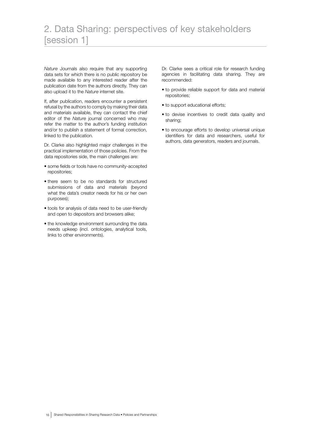# 2. Data Sharing: perspectives of key stakeholders [session 1]

*Nature* Journals also require that any supporting data sets for which there is no public repository be made available to any interested reader after the publication date from the authors directly. They can also upload it to the *Nature* internet site.

If, after publication, readers encounter a persistent refusal by the authors to comply by making their data and materials available, they can contact the chief editor of the *Nature* journal concerned who may refer the matter to the author's funding institution and/or to publish a statement of formal correction, linked to the publication.

Dr. Clarke also highlighted major challenges in the practical implementation of those policies. From the data repositories side, the main challenges are:

- some fields or tools have no community-accepted repositories;
- there seem to be no standards for structured submissions of data and materials (beyond what the data's creator needs for his or her own purposes);
- tools for analysis of data need to be user-friendly and open to depositors and browsers alike;
- the knowledge environment surrounding the data needs upkeep (incl. ontologies, analytical tools, links to other environments).

Dr. Clarke sees a critical role for research funding agencies in facilitating data sharing. They are recommended:

- to provide reliable support for data and material repositories;
- to support educational efforts;
- to devise incentives to credit data quality and sharing;
- to encourage efforts to develop universal unique identifiers for data and researchers, useful for authors, data generators, readers and journals.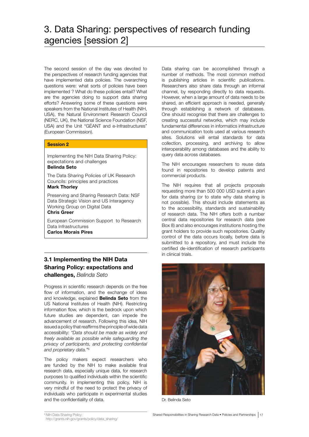The second session of the day was devoted to the perspectives of research funding agencies that have implemented data policies. The overarching questions were: what sorts of policies have been implemented ? What do these policies entail? What are the agencies doing to support data sharing efforts? Answering some of these questions were speakers from the National Institutes of Health (NIH, USA), the Natural Environment Research Council (NERC, UK), the National Science Foundation (NSF, USA) and the Unit "GÉANT and e-Infrastructures" (European Commission).

# Session 2

Implementing the NIH Data Sharing Policy: expectations and challenges

# Belinda Seto

The Data Sharing Policies of UK Research Councils: principles and practices

# Mark Thorley

Preserving and Sharing Research Data: NSF Data Strategic Vision and US Interagency Working Group on Digital Data

# Chris Greer

European Commission Support to Research Data Infrastructures

Carlos Morais Pires

# 3.1 Implementing the NIH Data Sharing Policy: expectations and challenges, *Belinda Seto*

Progress in scientific research depends on the free flow of information, and the exchange of ideas and knowledge, explained **Belinda Seto** from the US National Institutes of Health (NIH). Restricting information flow, which is the bedrock upon which future studies are dependent, can impede the advancement of research. Following this idea, NIH issued a policy that reaffirms the principle of wide data accessibility: *"Data should be made as widely and freely available as possible while safeguarding the privacy of participants, and protecting confidential and proprietary data."*<sup>6</sup>

The policy makers expect researchers who are funded by the NIH to make available final research data, especially unique data, for research purposes to qualified individuals within the scientific community. In implementing this policy, NIH is very mindful of the need to protect the privacy of individuals who participate in experimental studies and the confidentiality of data.

Data sharing can be accomplished through a number of methods. The most common method is publishing articles in scientific publications. Researchers also share data through an informal channel, by responding directly to data requests. However, when a large amount of data needs to be shared, an efficient approach is needed, generally through establishing a network of databases. One should recognise that there are challenges to creating successful networks, which may include fundamental differences in informatics infrastructure and communication tools used at various research sites. Solutions will entail standards for data collection, processing, and archiving to allow interoperability among databases and the ability to query data across databases.

The NIH encourages researchers to reuse data found in repositories to develop patents and commercial products.

The NIH requires that all projects proposals requesting more than 500 000 USD submit a plan for data sharing (or to state why data sharing is not possible). This should include statements as to the accessibility, standards and sustainability of research data. The NIH offers both a number central data repositories for research data (see Box 8) and also encourages institutions hosting the grant holders to provide such repositories. Quality control of the data occurs locally, before data is submitted to a repository, and must include the certified de-identification of research participants in clinical trials.



Dr. Belinda Seto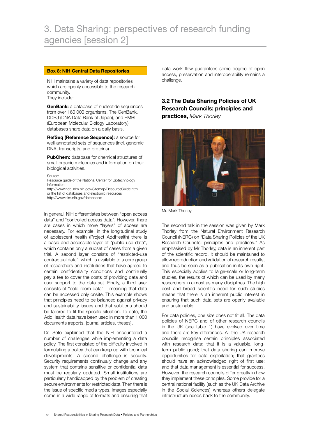# Box 8: NIH Central Data Repositories

NIH maintains a variety of data repositories which are openly accessible to the research community. They include:

**GenBank:** a database of nucleotide sequences from over 160 000 organisms. The GenBank, DDBJ (DNA Data Bank of Japan), and EMBL (European Molecular Biology Laboratory) databases share data on a daily basis.

RefSeq (Reference Sequence): a source for well-annotated sets of sequences (incl. genomic DNA, transcripts, and proteins).

**PubChem:** database for chemical structures of small organic molecules and information on their biological activities.

Source:

Resource guide of the National Center for Biotechnology Information

http://www.ncbi.nlm.nih.gov/Sitemap/ResourceGuide.html or the list of databases and electronic resources http://www.nlm.nih.gov/databases/

In general, NIH differentiates between "open access data" and "controlled access data". However, there are cases in which more "layers" of access are necessary. For example, in the longitudinal study of adolescent health (Project AddHealth) there is a basic and accessible layer of "public use data", which contains only a subset of cases from a given trial. A second layer consists of "restricted-use contractual data", which is available to a core group of researchers and institutions that have agreed to certain confidentiality conditions and continually pay a fee to cover the costs of providing data and user support to the data set. Finally, a third layer consists of "cold room data" – meaning that data can be accessed only onsite. This example shows that principles need to be balanced against privacy and sustainability issues and that solutions should be tailored to fit the specific situation. To date, the AddHealth data have been used in more than 1 000 documents (reports, journal articles, theses).

Dr. Seto explained that the NIH encountered a number of challenges while implementing a data policy. The first consisted of the difficulty involved in formulating a policy that can keep up with technical developments. A second challenge is security. Security requirements continually change and any system that contains sensitive or confidential data must be regularly updated. Small institutions are particularly handicapped by the problem of creating secure environments for restricted data. Then there is the issue of specific media types. Images especially come in a wide range of formats and ensuring that data work flow guarantees some degree of open access, preservation and interoperability remains a challenge.

3.2 The Data Sharing Policies of UK Research Councils: principles and practices, *Mark Thorley*



Mr. Mark Thorley

The second talk in the session was given by Mark Thorley from the Natural Environment Research Council (NERC) on "Data Sharing Policies of the UK Research Councils: principles and practices." As emphasised by Mr Thorley, data is an inherent part of the scientific record. It should be maintained to allow reproduction and validation of research results, and thus be seen as a publication in its own right. This especially applies to large-scale or long-term studies, the results of which can be used by many researchers in almost as many disciplines. The high cost and broad scientific need for such studies means that there is an inherent public interest in ensuring that such data sets are openly available and sustainable.

For data policies, one size does not fit all. The data policies of NERC and of other research councils in the UK (see table 1) have evolved over time and there are key differences. All the UK research councils recognise certain principles associated with research data: that it is a valuable, longterm public good; that data sharing can improve opportunities for data exploitation; that grantees should have an acknowledged right of first use; and that data management is essential for success. However, the research councils differ greatly in how they implement these principles. Some provide for a central national facility (such as the UK Data Archive in the Social Sciences) whereas others delegate infrastructure needs back to the community.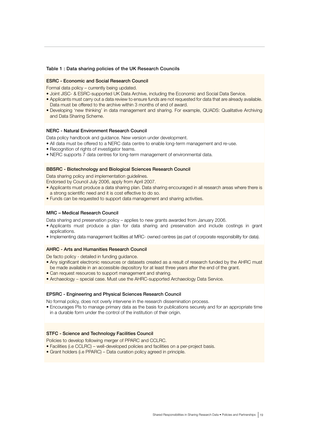#### Table 1 : Data sharing policies of the UK Research Councils

#### ESRC - Economic and Social Research Council

Formal data policy – currently being updated.

- Joint JISC- & ESRC-supported UK Data Archive, including the Economic and Social Data Service.
- Applicants must carry out a data review to ensure funds are not requested for data that are already available. Data must be offered to the archive within 3 months of end of award.
- Developing 'new thinking' in data management and sharing. For example, QUADS: Qualitative Archiving and Data Sharing Scheme.

#### NERC - Natural Environment Research Council

Data policy handbook and guidance. New version under development.

- All data must be offered to a NERC data centre to enable long-term management and re-use.
- Recognition of rights of investigator teams.
- NERC supports 7 data centres for long-term management of environmental data.

#### BBSRC - Biotechnology and Biological Sciences Research Council

Data sharing policy and implementation guidelines.

Endorsed by Council July 2006, apply from April 2007.

- Applicants must produce a data sharing plan. Data sharing encouraged in all research areas where there is a strong scientific need and it is cost effective to do so.
- Funds can be requested to support data management and sharing activities.

### MRC – Medical Research Council

Data sharing and preservation policy – applies to new grants awarded from January 2006.

- Applicants must produce a plan for data sharing and preservation and include costings in grant applications.
- Implementing data management facilities at MRC- owned centres (as part of corporate responsibility for data).

#### AHRC - Arts and Humanities Research Council

De facto policy - detailed in funding guidance.

- Any significant electronic resources or datasets created as a result of research funded by the AHRC must be made available in an accessible depository for at least three years after the end of the grant.
- Can request resources to support management and sharing.
- Archaeology special case. Must use the AHRC-supported Archaeology Data Service.

# EPSRC - Engineering and Physical Sciences Research Council

No formal policy, does not overly intervene in the research dissemination process.

• Encourages PIs to manage primary data as the basis for publications securely and for an appropriate time in a durable form under the control of the institution of their origin.

#### STFC - Science and Technology Facilities Council

Policies to develop following merger of PPARC and CCLRC.

- Facilities (i.e CCLRC) well-developed policies and facilities on a per-project basis.
- Grant holders (i.e PPARC) Data curation policy agreed in principle.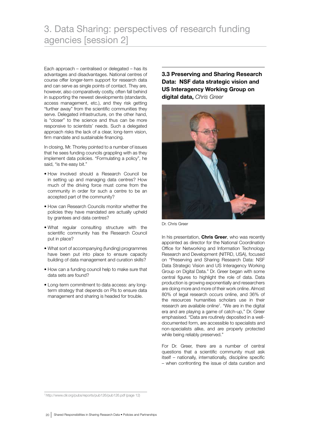Each approach – centralised or delegated – has its advantages and disadvantages. National centres of course offer longer-term support for research data and can serve as single points of contact. They are, however, also comparatively costly, often fall behind in supporting the newest developments (standards, access management, etc.), and they risk getting "further away" from the scientific communities they serve. Delegated infrastructure, on the other hand, is "closer" to the science and thus can be more responsive to scientists' needs. Such a delegated approach risks the lack of a clear, long-term vision, firm mandate and sustainable financing.

In closing, Mr. Thorley pointed to a number of issues that he sees funding councils grappling with as they implement data policies. "Formulating a policy", he said, "is the easy bit."

- How involved should a Research Council be in setting up and managing data centres? How much of the driving force must come from the community in order for such a centre to be an accepted part of the community?
- How can Research Councils monitor whether the policies they have mandated are actually upheld by grantees and data centres?
- What regular consulting structure with the scientific community has the Research Council put in place?
- What sort of accompanying (funding) programmes have been put into place to ensure capacity building of data management and curation skills?
- How can a funding council help to make sure that data sets are found?
- Long-term commitment to data access: any longterm strategy that depends on PIs to ensure data management and sharing is headed for trouble.

3.3 Preserving and Sharing Research Data: NSF data strategic vision and US Interagency Working Group on digital data, *Chris Greer*



Dr. Chris Greer

In his presentation, Chris Greer, who was recently appointed as director for the National Coordination Office for Networking and Information Technology Research and Development (NITRD, USA), focused on "Preserving and Sharing Research Data: NSF Data Strategic Vision and US Interagency Working Group on Digital Data." Dr. Greer began with some central figures to highlight the role of data. Data production is growing exponentially and researchers are doing more and more of their work online. Almost 80% of legal research occurs online, and 36% of the resources humanities scholars use in their research are available online<sup>7</sup>. "We are in the digital era and are playing a game of catch-up," Dr. Greer emphasised. "Data are routinely deposited in a welldocumented form, are accessible to specialists and non-specialists alike, and are properly protected while being reliably preserved."

For Dr. Greer, there are a number of central questions that a scientific community must ask itself – nationally, internationally, discipline specific – when confronting the issue of data curation and

7 http://www.clir.org/pubs/reports/pub126/pub126.pdf (page 12)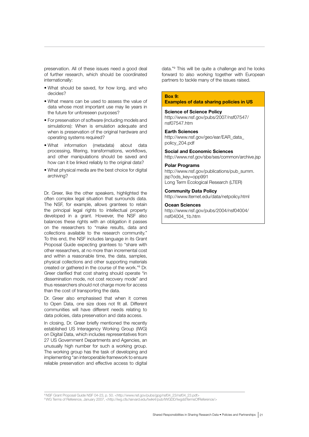preservation. All of these issues need a good deal of further research, which should be coordinated internationally:

- What should be saved, for how long, and who decides?
- What means can be used to assess the value of data whose most important use may lie years in the future for unforeseen purposes?
- For preservation of software (including models and simulations): When is emulation adequate and when is preservation of the original hardware and operating systems required?
- What information (metadata) about data processing, filtering, transformations, workflows, and other manipulations should be saved and how can it be linked reliably to the original data?
- What physical media are the best choice for digital archiving?

Dr. Greer, like the other speakers, highlighted the often complex legal situation that surrounds data. The NSF, for example, allows grantees to retain the principal legal rights to intellectual property developed in a grant. However, the NSF also balances these rights with an obligation it passes on the researchers to "make results, data and collections available to the research community." To this end, the NSF includes language in its Grant Proposal Guide expecting grantees to "share with other researchers, at no more than incremental cost and within a reasonable time, the data, samples, physical collections and other supporting materials created or gathered in the course of the work."8 Dr. Greer clarified that cost sharing should operate "in dissemination mode, not cost recovery mode" and thus researchers should not charge more for access than the cost of transporting the data.

Dr. Greer also emphasised that when it comes to Open Data, one size does not fit all. Different communities will have different needs relating to data policies, data preservation and data access.

In closing, Dr. Greer briefly mentioned the recently established US Interagency Working Group (IWG) on Digital Data, which includes representatives from 27 US Government Departments and Agencies, an unusually high number for such a working group. The working group has the task of developing and implementing "an interoperable framework to ensure reliable preservation and effective access to digital

data."9 This will be quite a challenge and he looks forward to also working together with European partners to tackle many of the issues raised.

#### Box 9:

#### Examples of data sharing policies in US

#### Science of Science Policy

http://www.nsf.gov/pubs/2007/nsf07547/ nsf07547.htm

#### Earth Sciences

http://www.nsf.gov/geo/ear/EAR\_data\_ policy\_204.pdf

Social and Economic Sciences http://www.nsf.gov/sbe/ses/common/archive.jsp

#### Polar Programs

http://www.nsf.gov/publications/pub\_summ. jsp?ods\_key=opp991 Long Term Ecological Research (LTER)

#### Community Data Policy

http://www.lternet.edu/data/netpolicy.html

## Ocean Sciences

http://www.nsf.gov/pubs/2004/nsf04004/ nsf04004\_1b.htm

8 NSF Grant Proposal Guide NSF 04-23, p. 50. <http://www.nsf.gov/pubs/gpg/nsf04\_23/nsf04\_23.pdf>

9 WG Terms of Reference, January 2007, <http://iwg.cfa.harvard.edu/twiki4/pub/IWGDD/IwgddTermsOfReference/>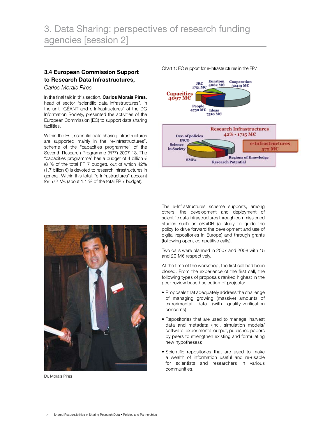# **3.4 European Commission Support** Chart 1: EC support for e-Infrastructures in the FP7 to Research Data Infrastructures,

*Carlos Morais Pires*

In the final talk in this section, **Carlos Morais Pires**, head of sector "scientific data infrastructures", in the unit "GÉANT and e-Infrastructures" of the DG Information Society, presented the activities of the European Commission (EC) to support data sharing facilities.

Within the EC, scientific data sharing infrastructures are supported mainly in the "e-Infrastructures", scheme of the "capacities programme" of the Seventh Research Programme (FP7) 2007-13. The "capacities programme" has a budget of 4 billion  $\epsilon$ (8 % of the total FP 7 budget), out of which 42% (1.7 billion €) is devoted to research infrastructures in general. Within this total, "e-Infrastructures" account for 572 M€ (about 1.1 % of the total FP 7 budget).

Euratom Cooperation  $_{\rm JRC}$ 4062 MC 32413 МС  $1751 \text{ MC}$ Capacities<br>4097 MC People 4750 MC Ideas 7510 MC **Research Infrastructures**  $42\% - 1715$  MC Dev. of policies **INCO** e-Infrastructures Science 572 MC in Society **Regions of Knowledge SMEs Research Potential** 



Dr. Morais Pires

The e-Infrastructures scheme supports, among others, the development and deployment of scientific data infrastructures through commissioned studies such as eSciDR (a study to guide the policy to drive forward the development and use of digital repositories in Europe) and through grants (following open, competitive calls).

Two calls were planned in 2007 and 2008 with 15 and 20 M€ respectively.

At the time of the workshop, the first call had been closed. From the experience of the first call, the following types of proposals ranked highest in the peer-review based selection of projects:

- Proposals that adequately address the challenge of managing growing (massive) amounts of experimental data (with quality-verification concerns);
- Repositories that are used to manage, harvest data and metadata (incl. simulation models/ software, experimental output, published papers by peers to strengthen existing and formulating new hypotheses);
- Scientific repositories that are used to make a wealth of information useful and re-usable for scientists and researchers in various communities.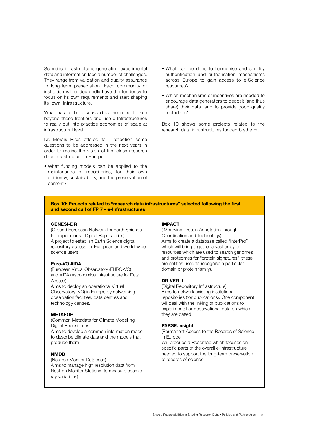Scientific infrastructures generating experimental data and information face a number of challenges. They range from validation and quality assurance to long-term preservation. Each community or institution will undoubtedly have the tendency to focus on its own requirements and start shaping its 'own' infrastructure.

What has to be discussed is the need to see beyond these frontiers and use e-Infrastructures to really put into practice economies of scale at infrastructural level.

Dr. Morais Pires offered for reflection some questions to be addressed in the next years in order to realise the vision of first-class research data infrastructure in Europe.

• What funding models can be applied to the maintenance of repositories, for their own efficiency, sustainability, and the preservation of content?

- What can be done to harmonise and simplify authentication and authorisation mechanisms across Europe to gain access to e-Science resources?
- Which mechanisms of incentives are needed to encourage data generators to deposit (and thus share) their data, and to provide good-quality metadata?

Box 10 shows some projects related to the research data infrastructures funded b ythe EC.

#### Box 10: Projects related to "research data infrastructures" selected following the first and second call of FP 7 – e-Infrastructures

#### GENESI-DR

(Ground European Network for Earth Science Interoperations - Digital Repositories) A project to establish Earth Science digital repository access for European and world-wide science users.

### Euro-VO AIDA

(European Virtual Observatory (EURO-VO) and AIDA (Astronomical Infrastructure for Data Access)

Aims to deploy an operational Virtual Observatory (VO) in Europe by networking observation facilities, data centres and technology centres.

#### METAFOR

produce them.

(Common Metadata for Climate Modelling Digital Repositories Aims to develop a common information model to describe climate data and the models that

# NMDB

(Neutron Monitor Database) Aims to manage high resolution data from Neutron Monitor Stations (to measure cosmic ray variations).

#### IMPACT

(IMproving Protein Annotation through Coordination and Technology) Aims to create a database called "InterPro" which will bring together a vast array of resources which are used to search genomes and proteomes for "protein signatures" (these are entities used to recognise a particular domain or protein family).

## DRIVER II

(Digital Repository Infrastructure) Aims to network existing institutional repositories (for publications). One component will deal with the linking of publications to experimental or observational data on which they are based.

#### PARSE.Insight

(Permanent Access to the Records of Science in Europe)

Will produce a Roadmap which focuses on specific parts of the overall e-Infrastructure needed to support the long-term preservation of records of science.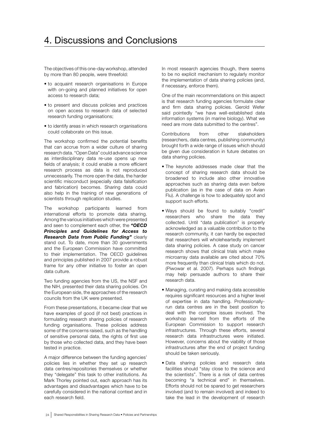The objectives of this one-day workshop, attended by more than 80 people, were threefold:

- to acquaint research organisations in Europe with on-going and planned initiatives for open access to research data;
- to present and discuss policies and practices on open access to research data of selected research funding organisations;
- to identify areas in which research organisations could collaborate on this issue.

The workshop confirmed the potential benefits that can accrue from a wider culture of sharing research data. "Open Data" could advance science as interdisciplinary data re-use opens up new fields of analysis; it could enable a more efficient research process as data is not reproduced unnecessarily. The more open the data, the harder scientific misconduct (especially data falsification and fabrication) becomes. Sharing data could also help in the training of new generations of scientists through replication studies.

The workshop participants learned from international efforts to promote data sharing. Among the various initiatives which were presented and seen to complement each other, the *"OECD Principles and Guidelines for Access to Research Data from Public Funding"* clearly stand out. To date, more than 30 governments and the European Commission have committed to their implementation. The OECD guidelines and principles published in 2007 provide a robust frame for any other initiative to foster an open data culture.

Two funding agencies from the US, the NSF and the NIH, presented their data sharing policies. On the European side, the approaches of the research councils from the UK were presented.

From these presentations, it became clear that we have examples of good (if not best) practices in formulating research sharing policies of research funding organisations. These policies address some of the concerns raised, such as the handling of sensitive personal data, the rights of first use by those who collected data, and they have been tested in practice.

A major difference between the funding agencies' policies lies in whether they set up research data centres/repositories themselves or whether they "delegate" this task to other institutions. As Mark Thorley pointed out, each approach has its advantages and disadvantages which have to be carefully considered in the national context and in each research field.

In most research agencies though, there seems to be no explicit mechanism to regularly monitor the implementation of data sharing policies (and, if necessary, enforce them).

One of the main recommendations on this aspect is that research funding agencies formulate clear and firm data sharing policies. Gerold Wefer said pointedly "we have well-established data information systems (in marine biology). What we need are more data submitted to the centres".

Contributions from other stakeholders (researchers, data centres, publishing community) brought forth a wide range of issues which should be given due consideration in future debates on data sharing policies.

- The keynote addresses made clear that the concept of sharing research data should be broadened to include also other innovative approaches such as sharing data even before publication (as in the case of data on Avian Flu). A challenge is how to adequately spot and support such efforts.
- Ways should be found to suitably "credit" researchers who share the data they collected. Until "data publication" is properly acknowledged as a valuable contribution to the research community, it can hardly be expected that researchers will wholeheartedly implement data sharing policies. A case study on cancer research shows that clinical trials which make microarray data available are cited about 70% more frequently than clinical trials which do not. (Piwowar et al. 2007). Perhaps such findings may help persuade authors to share their research data.
- Managing, curating and making data accessible requires significant resources and a higher level of expertise in data handling. Professionallyrun data centres are in the best position to deal with the complex issues involved. The workshop learned from the efforts of the European Commission to support research infrastructures. Through these efforts, several research data infrastructures were initiated. However, concerns about the viability of those infrastructures after the end of project funding should be taken seriously.
- Data sharing policies and research data facilities should "stay close to the science and the scientists". There is a risk of data centres becoming "a technical end" in themselves. Efforts should not be spared to get researchers involved (and to remain involved) and indeed to take the lead in the development of research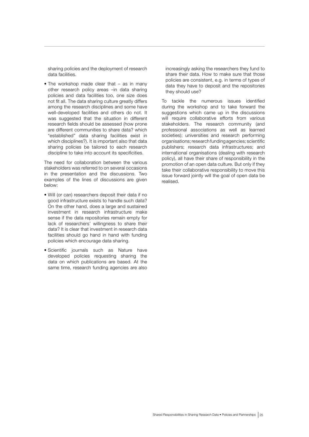sharing policies and the deployment of research data facilities.

• The workshop made clear that – as in many other research policy areas –in data sharing policies and data facilities too, one size does not fit all. The data sharing culture greatly differs among the research disciplines and some have well-developed facilities and others do not. It was suggested that the situation in different research fields should be assessed (how prone are different communities to share data? which "established" data sharing facilities exist in which disciplines?). It is important also that data sharing policies be tailored to each research discipline to take into account its specificities.

The need for collaboration between the various stakeholders was referred to on several occasions in the presentation and the discussions. Two examples of the lines of discussions are given below:

- Will (or can) researchers deposit their data if no good infrastructure exists to handle such data? On the other hand, does a large and sustained investment in research infrastructure make sense if the data repositories remain empty for lack of researchers' willingness to share their data? It is clear that investment in research data facilities should go hand in hand with funding policies which encourage data sharing.
- Scientific journals such as Nature have developed policies requesting sharing the data on which publications are based. At the same time, research funding agencies are also

increasingly asking the researchers they fund to share their data. How to make sure that those policies are consistent, e.g. in terms of types of data they have to deposit and the repositories they should use?

To tackle the numerous issues identified during the workshop and to take forward the suggestions which came up in the discussions will require collaborative efforts from various stakeholders. The research community (and professional associations as well as learned societies); universities and research performing organisations; research funding agencies; scientific publishers; research data infrastructures; and international organisations (dealing with research policy), all have their share of responsibility in the promotion of an open data culture. But only if they take their collaborative responsibility to move this issue forward jointly will the goal of open data be realised.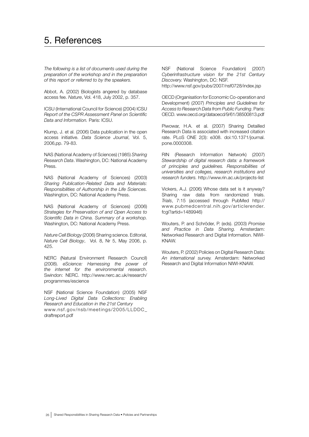# 5. References

*The following is a list of documents used during the preparation of the workshop and in the preparation of this report or referred to by the speakers.* 

Abbot, A. (2002) Biologists angered by database access fee. *Nature*, Vol. 418, July 2002, p. 357.

ICSU (International Council for Science) (2004) ICSU *Report of the CSPR Assessment Panel on Scientific Data and Information.* Paris: ICSU.

Klump, J. et al. (2006) Data publication in the open access initiative. *Data Science Journal*, Vol. 5, 2006,pp. 79-83.

NAS (National Academy of Sciences) (1985) *Sharing Research Data*. Washington, DC: National Academy Press.

NAS (National Academy of Sciences) (2003) *Sharing Publication-Related Data and Materials: Responsibilities of Authorship in the Life Sciences.*  Washington, DC: National Academy Press.

NAS (National Academy of Sciences) (2006) *Strategies for Preservation of and Open Access to Scientific Data in China. Summary of a workshop.*  Washington, DC: National Academy Press.

*Nature Cell Biology* (2006) Sharing science. Editorial, *Nature Cell Biology*, Vol. 8, Nr 5, May 2006, p. 425.

NERC (Natural Environment Research Council) (2008). *eScience: Harnessing the power of the internet for the environmental research*. Swindon: NERC. http://www.nerc.ac.uk/research/ programmes/escience

NSF (National Science Foundation) (2005) NSF *Long-Lived Digital Data Collections: Enabling Research and Education in the 21st Century*  www.nsf.gov/nsb/meetings/2005/LLDDC\_ draftreport.pdf

NSF (National Science Foundation) (2007) *Cyberinfrastructure vision for the 21st Century Discovery.* Washington, DC: NSF. http://www.nsf.gov/pubs/2007/nsf0728/index.jsp

OECD (Organisation for Economic Co-operation and Development) (2007) *Principles and Guidelines for Access to Research Data from Public Funding*. Paris: OECD. www.oecd.org/dataoecd/9/61/38500813.pdf

Piwowar, H.A. et al. (2007) Sharing Detailled Research Data is associated with increased citation rate. PLoS ONE 2(3): e308. doi:10.1371/journal. pone.0000308.

RIN (Research Information Network) (2007) *Stewardship of digital research data: a framework of principles and guidelines. Responsibilities of universities and colleges, research institutions and research funders.* http://www.rin.ac.uk/projects-list

Vickers, A.J. (2006) Whose data set is it anyway? Sharing raw data from randomized trials. *Trials*, 7:15 (accessed through PubMed http:// www.pubmedcentral.nih.gov/articlerender. fcgi?artid=1489946)

Wouters, P. and Schröder, P. (eds). (2003) *Promise and Practice in Data Sharing.* Amsterdam: Networked Research and Digital Information. NIWI-KNAW.

Wouters, P. (2002) Policies on Digital Research Data: *An international survey.* Amsterdam: Networked Research and Digital Information NIWI-KNAW.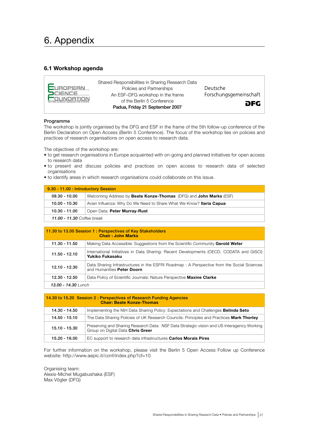# 6. Appendix

# 6.1 Workshop agenda



#### Programme

The workshop is jointly organised by the DFG and ESF in the frame of the 5th follow-up conference of the Berlin Declaration on Open Access (Berlin 5 Conference). The focus of the workshop lies on policies and practices of research organisations on open access to research data.

The objectives of the workshop are:

- to get research organisations in Europe acquainted with on-going and planned initiatives for open access to research data
- to present and discuss policies and practices on open access to research data of selected organisations
- to identify areas in which research organisations could collaborate on this issue.

| 9.30 - 11.00 : Introductory Session |                                                                     |  |
|-------------------------------------|---------------------------------------------------------------------|--|
| $09.30 - 10.00$                     | Welcoming Address by Beate Konze-Thomas (DFG) and John Marks (ESF)  |  |
| 10.00 - 10.30                       | Avian Influenza: Why Do We Need to Share What We Know? Ilaria Capua |  |
| 10.30 - 11.00                       | Open Data: Peter Murray-Rust                                        |  |
| <b>11.00 - 11.30</b> Coffee break   |                                                                     |  |

|                     | 11.30 to 13.00 Session 1: Perspectives of Key Stakeholders<br><b>Chair: John Marks</b>                                  |
|---------------------|-------------------------------------------------------------------------------------------------------------------------|
| 11.30 - 11.50       | Making Data Accessible: Suggestions from the Scientific Community Gerold Wefer                                          |
| $11.50 - 12.10$     | International Initiatives in Data Sharing: Recent Developments (OECD, CODATA and GISCI)<br>Yukiko Fukasaku              |
| $12.10 - 12.30$     | Data Sharing Infrastructures in the ESFRI Roadmap: A Perspective from the Social Sciences<br>and Humanities Peter Doorn |
| 12.30 - 12.50       | Data Policy of Scientific Journals: Nature Perspective Maxine Clarke                                                    |
| 13.00 - 14.30 Lunch |                                                                                                                         |

|                 | 14.30 to 15.20 Session 2 : Perspectives of Research Funding Agencies<br><b>Chair: Beate Konze-Thomas</b>                        |
|-----------------|---------------------------------------------------------------------------------------------------------------------------------|
| 14.30 - 14.50   | Implementing the NIH Data Sharing Policy: Expectations and Challenges <b>Belinda Seto</b>                                       |
| 14.50 - 15.10   | The Data Sharing Policies of UK Research Councils: Principles and Practices Mark Thorley                                        |
| $15.10 - 15.30$ | Preserving and Sharing Research Data: NSF Data Strategic vision and US Interagency Working<br>Group on Digital Data Chris Greer |
| 15.20 - 16.00   | EC support to research data infrastructures <b>Carlos Morais Pires</b>                                                          |

For further information on the workshop, please visit the Berlin 5 Open Access Follow up Conference website: http://www.aepic.it/conf/index.php?cf=10

Organising team: Alexis-Michel Mugabushaka (ESF) Max Vögler (DFG)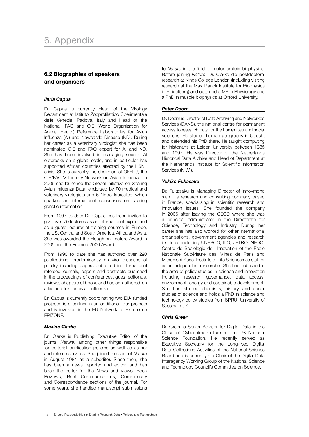# 6.2 Biographies of speakers and organisers

# *Ilaria Capua*

Dr. Capua is currently Head of the Virology Department at Istituto Zooprofilattico Sperimentale delle Venezie, Padova, Italy and Head of the National, FAO and OIE (World Organization for Animal Health) Reference Laboratories for Avian Influenza (AI) and Newcastle Disease (ND). During her career as a veterinary virologist she has been nominated OIE and FAO expert for AI and ND. She has been involved in managing several AI outbreaks on a global scale, and in particular has supported African countries affected by the H5N1 crisis. She is currently the chairman of OFFLU, the OIE/FAO Veterinary Network on Avian Influenza. In 2006 she launched the Global Initiative on Sharing Avian Influenza Data, endorsed by 70 medical and veterinary virologists and 6 Nobel laureates, which sparked an international consensus on sharing genetic information.

From 1997 to date Dr. Capua has been invited to give over 70 lectures as an international expert and as a guest lecturer at training courses in Europe, the US, Central and South America, Africa and Asia. She was awarded the Houghton Lecture Award in 2005 and the Promed 2006 Award.

From 1990 to date she has authored over 290 publications, predominantly on viral diseases of poultry including papers published in international refereed journals, papers and abstracts published in the proceedings of conferences, guest editorials, reviews, chapters of books and has co-authored an atlas and text on avian influenza.

Dr. Capua is currently coordinating two EU- funded projects, is a partner in an additional four projects and is involved in the EU Network of Excellence EPIZONE.

# *Maxine Clarke*

Dr. Clarke is Publishing Executive Editor of the journal *Nature*, among other things responsible for editorial publication policies as well as author and referee services. She joined the staff of *Nature* in August 1984 as a subeditor. Since then, she has been a news reporter and editor, and has been the editor for the News and Views, Book Reviews, Brief Communications, Commentary and Correspondence sections of the journal. For some years, she handled manuscript submissions to *Nature* in the field of motor protein biophysics. Before joining *Nature*, Dr. Clarke did postdoctoral research at Kings College London (including visiting research at the Max Planck Institute for Biophysics in Heidelberg) and obtained a MA in Physiology and a PhD in muscle biophysics at Oxford University.

# *Peter Doorn*

Dr. Doorn is Director of Data Archiving and Networked Services (DANS), the national centre for permanent access to research data for the humanities and social sciences. He studied human geography in Utrecht and defended his PhD there. He taught computing for historians at Leiden University between 1985 and 1997. He was Director of the Netherlands Historical Data Archive and Head of Department at the Netherlands Institute for Scientific Information Services (NIWI).

# *Yukiko Fukasaku*

Dr. Fukasaku is Managing Director of Innovmond s.a.r.l., a research and consulting company based in France, specialising in scientific research and innovation issues. She founded the company in 2006 after leaving the OECD where she was a principal administrator in the Directorate for Science, Technology and Industry. During her career she has also worked for other international organisations, government agencies and research institutes including UNESCO, ILO, JETRO, NEDO, Centre de Sociologie de l'Innovation of the École Nationale Supérieure des Mines de Paris and Mitsubishi-Kasei Institute of Life Sciences as staff or as an independent researcher. She has published in the area of policy studies in science and innovation including research governance, data access, environment, energy and sustainable development. She has studied chemistry, history and social studies of science and holds a PhD in science and technology policy studies from SPRU, University of Sussex in UK.

# *Chris Greer*

Dr. Greer is Senior Advisor for Digital Data in the Office of Cyberinfrastructure at the US National Science Foundation. He recently served as Executive Secretary for the Long-lived Digital Data Collections Activities of the National Science Board and is currently Co-Chair of the Digital Data Interagency Working Group of the National Science and Technology Council's Committee on Science.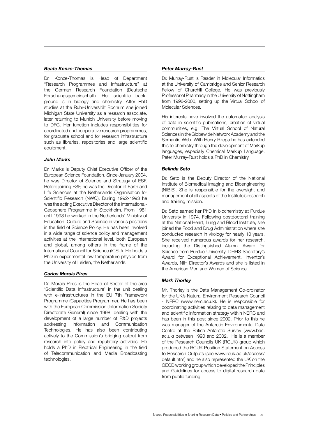### *Beate Konze-Thomas*

Dr. Konze-Thomas is Head of Department "Research Programmes and Infrastructure" at the German Research Foundation (Deutsche Forschungsgemeinschaft). Her scientific background is in biology and chemistry. After PhD studies at the Ruhr-Universität Bochum she joined Michigan State University as a research associate, later returning to Munich University before moving to DFG. Her function includes responsibilities for coordinated and cooperative research programmes, for graduate school and for research infrastructure such as libraries, repositories and large scientific equipment.

### *John Marks*

Dr. Marks is Deputy Chief Executive Officer of the European Science Foundation. Since January 2004, he was Director of Science and Strategy of ESF. Before joining ESF, he was the Director of Earth and Life Sciences at the Netherlands Organisation for Scientific Research (NWO). During 1992-1993 he was the acting Executive Director of the International-Geosphere Programme in Stockholm. From 1981 until 1998 he worked in the Netherlands' Ministry of Education, Culture and Science in various positions in the field of Science Policy. He has been involved in a wide range of science policy and management activities at the international level, both European and global, among others in the frame of the International Council for Science (ICSU). He holds a PhD in experimental low temperature physics from the University of Leiden, the Netherlands.

#### *Carlos Morais Pires*

Dr. Morais Pires is the Head of Sector of the area 'Scientific Data Infrastructure' in the unit dealing with e-Infrastructures in the EU 7th Framework Programme (Capacities Programme). He has been with the European Commission (Information Society Directorate General) since 1998, dealing with the development of a large number of R&D projects addressing Information and Communication Technologies. He has also been contributing actively to the Commission's bridging output from research into policy and regulatory activities. He holds a PhD in Electrical Engineering in the field of Telecommunication and Media Broadcasting technologies.

## *Peter Murray-Rust*

Dr. Murray-Rust is Reader in Molecular Informatics at the University of Cambridge and Senior Research Fellow of Churchill College. He was previously Professor of Pharmacy in the University of Nottingham from 1996-2000, setting up the Virtual School of Molecular Sciences.

His interests have involved the automated analysis of data in scientific publications, creation of virtual communities, e.g. The Virtual School of Natural Sciences in the Globewide Network Academy and the Semantic Web. With Henry Rzepa he has extended this to chemistry through the development of Markup languages, especially Chemical Markup Language. Peter Murray-Rust holds a PhD in Chemistry.

### *Belinda Seto*

Dr. Seto is the Deputy Director of the National Institute of Biomedical Imaging and Bioengineering (NIBIB). She is responsible for the oversight and management of all aspects of the Institute's research and training mission.

Dr. Seto earned her PhD in biochemistry at Purdue University in 1974. Following postdoctoral training at the National Heart, Lung and Blood Institute, she joined the Food and Drug Administration where she conducted research in virology for nearly 10 years. She received numerous awards for her research, including the Distinguished Alumni Award for Science from Purdue University, DHHS Secretary's Award for Exceptional Achievement, Inventor's Awards, NIH Director's Awards and she is listed in the American Men and Women of Science.

# *Mark Thorley*

Mr. Thorley is the Data Management Co-ordinator for the UK's Natural Environment Research Council - NERC (www.nerc.ac.uk). He is responsible for coordinating activities relating to data management and scientific information strategy within NERC and has been in this post since 2002. Prior to this he was manager of the Antarctic Environmental Data Centre at the British Antarctic Survey (www.bas. ac.uk) between 1990 and 2002. He is a member of the Research Councils UK (RCUK) group which produced the RCUK Position Statement on Access to Research Outputs (see www.rcuk.ac.uk/access/ default.htm) and he also represented the UK on the OECD working group which developed the Principles and Guidelines for access to digital research data from public funding.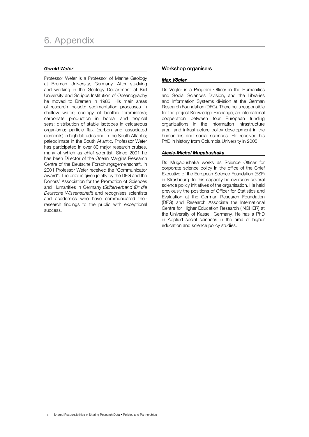# *Gerold Wefer*

Professor Wefer is a Professor of Marine Geology at Bremen University, Germany. After studying and working in the Geology Department at Kiel University and Scripps Institution of Oceanography he moved to Bremen in 1985. His main areas of research include: sedimentation processes in shallow water; ecology of benthic foraminifera; carbonate production in boreal and tropical seas; distribution of stable isotopes in calcareous organisms; particle flux (carbon and associated elements) in high latitudes and in the South Atlantic; paleoclimate in the South Atlantic. Professor Wefer has participated in over 30 major research cruises, many of which as chief scientist. Since 2001 he has been Director of the Ocean Margins Research Centre of the Deutsche Forschungsgemeinschaft. In 2001 Professor Wefer received the "Communicator Award". The prize is given jointly by the DFG and the Donors' Association for the Promotion of Sciences and Humanities in Germany (*Stifterverband für die Deutsche Wissenschaft*) and recognises scientists and academics who have communicated their research findings to the public with exceptional success.

# Workshop organisers

## *Max Vögler*

Dr. Vögler is a Program Officer in the Humanities and Social Sciences Division, and the Libraries and Information Systems division at the German Research Foundation (DFG). There he is responsible for the project Knowledge Exchange, an international cooperation between four European funding organizations in the information infrastructure area, and infrastructure policy development in the humanities and social sciences. He received his PhD in history from Columbia University in 2005.

### *Alexis-Michel Mugabushaka*

Dr. Mugabushaka works as Science Officer for corporate science policy in the office of the Chief Executive of the European Science Foundation (ESF) in Strasbourg. In this capacity he oversees several science policy initiatives of the organisation. He held previously the positions of Officer for Statistics and Evaluation at the German Research Foundation (DFG) and Research Associate the International Centre for Higher Education Research (INCHER) at the University of Kassel, Germany. He has a PhD in Applied social sciences in the area of higher education and science policy studies.